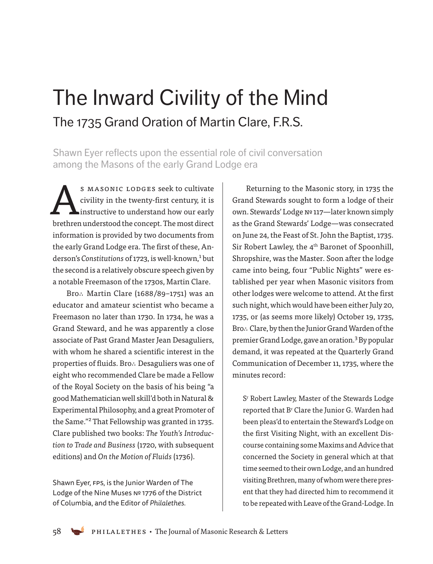# The Inward Civility of the Mind The 1735 Grand Oration of Martin Clare, F.R.S.

Shawn Eyer reflects upon the essential role of civil conversation among the Masons of the early Grand Lodge era

S MASONIC LODGES seek to cultivate<br>civility in the twenty-first century, it is<br>instructive to understand how our early civility in the twenty-first century, it is instructive to understand how our early brethren understood the concept. The most direct information is provided by two documents from the early Grand Lodge era. The first of these, Anderson's Constitutions of 1723, is well-known,<sup>1</sup> but the second is a relatively obscure speech given by a notable Freemason of the 1730s, Martin Clare.

Bro∴ Martin Clare (1688/89–1751) was an educator and amateur scientist who became a Freemason no later than 1730. In 1734, he was a Grand Steward, and he was apparently a close associate of Past Grand Master Jean Desaguliers, with whom he shared a scientific interest in the properties of fluids. Bro∴ Desaguliers was one of eight who recommended Clare be made a Fellow of the Royal Society on the basis of his being "a good Mathematician well skill'd both in Natural & Experimental Philosophy, and a great Promoter of the Same."2 That Fellowship was granted in 1735. Clare published two books: *The Youth's Introduction to Trade and Business* (1720, with subsequent editions) and *On the Motion of Fluids* (1736).

Shawn Eyer, FPS, is the Junior Warden of The Lodge of the Nine Muses № 1776 of the District of Columbia, and the Editor of *Philalethes*.

Returning to the Masonic story, in 1735 the Grand Stewards sought to form a lodge of their own. Stewards' Lodge №117—later known simply as the Grand Stewards' Lodge—was consecrated on June 24, the Feast of St. John the Baptist, 1735. Sir Robert Lawley, the 4<sup>th</sup> Baronet of Spoonhill, Shropshire, was the Master. Soon after the lodge came into being, four "Public Nights" were established per year when Masonic visitors from other lodges were welcome to attend. At the first such night, which would have been either July 20, 1735, or (as seems more likely) October 19, 1735, Bro∴ Clare, by then the Junior Grand Warden of the premier Grand Lodge, gave an oration.<sup>3</sup> By popular demand, it was repeated at the Quarterly Grand Communication of December 11, 1735, where the minutes record:

Sr Robert Lawley, Master of the Stewards Lodge reported that Br Clare the Junior G. Warden had been pleas'd to entertain the Steward's Lodge on the first Visiting Night, with an excellent Discourse containing some Maxims and Advice that concerned the Society in general which at that time seemed to their own Lodge, and an hundred visiting Brethren, many of whom were there present that they had directed him to recommend it to be repeated with Leave of the Grand-Lodge. In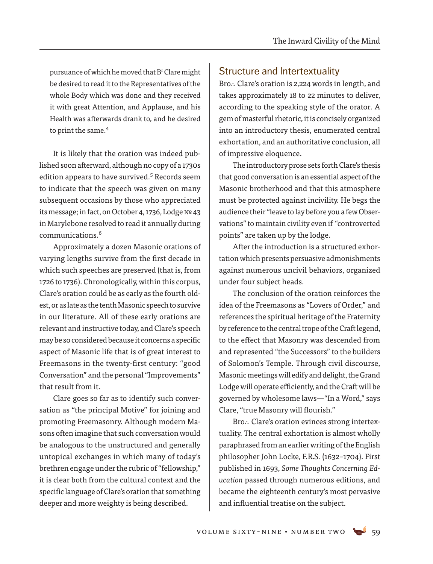pursuance of which he moved that B<sup>r</sup> Clare might be desired to read it to the Representatives of the whole Body which was done and they received it with great Attention, and Applause, and his Health was afterwards drank to, and he desired to print the same.<sup>4</sup>

It is likely that the oration was indeed published soon afterward, although no copy of a 1730s edition appears to have survived.<sup>5</sup> Records seem to indicate that the speech was given on many subsequent occasions by those who appreciated its message; in fact, on October 4, 1736, Lodge № 43 in Marylebone resolved to read it annually during communications.6

Approximately a dozen Masonic orations of varying lengths survive from the first decade in which such speeches are preserved (that is, from 1726 to 1736). Chronologically, within this corpus, Clare's oration could be as early as the fourth oldest, or as late as the tenth Masonic speech to survive in our literature. All of these early orations are relevant and instructive today, and Clare's speech may be so considered because it concerns a specific aspect of Masonic life that is of great interest to Freemasons in the twenty-first century: "good Conversation" and the personal "Improvements" that result from it.

Clare goes so far as to identify such conversation as "the principal Motive" for joining and promoting Freemasonry. Although modern Masons often imagine that such conversation would be analogous to the unstructured and generally untopical exchanges in which many of today's brethren engage under the rubric of "fellowship," it is clear both from the cultural context and the specific language of Clare's oration that something deeper and more weighty is being described.

#### Structure and Intertextuality

Bro∴ Clare's oration is 2,224 words in length, and takes approximately 18 to 22 minutes to deliver, according to the speaking style of the orator. A gem of masterful rhetoric, it is concisely organized into an introductory thesis, enumerated central exhortation, and an authoritative conclusion, all of impressive eloquence.

The introductory prose sets forth Clare's thesis that good conversation is an essential aspect of the Masonic brotherhood and that this atmosphere must be protected against incivility. He begs the audience their "leave to lay before you a few Observations" to maintain civility even if "controverted points" are taken up by the lodge.

After the introduction is a structured exhortation which presents persuasive admonishments against numerous uncivil behaviors, organized under four subject heads.

The conclusion of the oration reinforces the idea of the Freemasons as "Lovers of Order," and references the spiritual heritage of the Fraternity by reference to the central trope of the Craft legend, to the effect that Masonry was descended from and represented "the Successors" to the builders of Solomon's Temple. Through civil discourse, Masonic meetings will edify and delight, the Grand Lodge will operate efficiently, and the Craft will be governed by wholesome laws—"In a Word," says Clare, "true Masonry will flourish."

Bro∴ Clare's oration evinces strong intertextuality. The central exhortation is almost wholly paraphrased from an earlier writing of the English philosopher John Locke, F.R.S. (1632–1704). First published in 1693, *Some Thoughts Concerning Education* passed through numerous editions, and became the eighteenth century's most pervasive and influential treatise on the subject.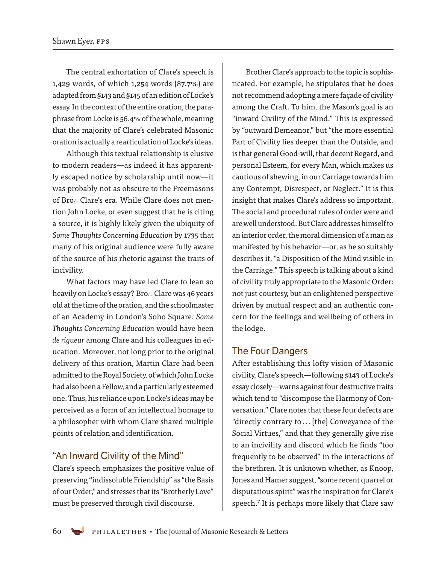The central exhortation of Clare's speech is 1,429 words, of which 1,254 words (87.7%) are adapted from §143 and §145 of an edition of Locke's essay. In the context of the entire oration, the paraphrase from Locke is 56.4% of the whole, meaning that the majority of Clare's celebrated Masonic oration is actually a rearticulation of Locke's ideas.

Although this textual relationship is elusive to modern readers—as indeed it has apparently escaped notice by scholarship until now—it was probably not as obscure to the Freemasons of Bro∴ Clare's era. While Clare does not mention John Locke, or even suggest that he is citing a source, it is highly likely given the ubiquity of *Some Thoughts Concerning Education* by 1735 that many of his original audience were fully aware of the source of his rhetoric against the traits of incivility.

What factors may have led Clare to lean so heavily on Locke's essay? Bro∴ Clare was 46 years old at the time of the oration, and the schoolmaster of an Academy in London's Soho Square. *Some Thoughts Concerning Education* would have been *de rigueur* among Clare and his colleagues in education. Moreover, not long prior to the original delivery of this oration, Martin Clare had been admitted to the Royal Society, of which John Locke had also been a Fellow, and a particularly esteemed one. Thus, his reliance upon Locke's ideas may be perceived as a form of an intellectual homage to a philosopher with whom Clare shared multiple points of relation and identification.

#### "An Inward Civility of the Mind"

Clare's speech emphasizes the positive value of preserving "indissoluble Friendship" as "the Basis of our Order," and stresses that its "Brotherly Love" must be preserved through civil discourse.

Brother Clare's approach to the topic is sophisticated. For example, he stipulates that he does not recommend adopting a mere façade of civility among the Craft. To him, the Mason's goal is an "inward Civility of the Mind." This is expressed by "outward Demeanor," but "the more essential Part of Civility lies deeper than the Outside, and is that general Good-will, that decent Regard, and personal Esteem, for every Man, which makes us cautious of shewing, in our Carriage towards him any Contempt, Disrespect, or Neglect." It is this insight that makes Clare's address so important. The social and procedural rules of order were and are well understood. But Clare addresses himself to an interior order, the moral dimension of a man as manifested by his behavior—or, as he so suitably describes it, "a Disposition of the Mind visible in the Carriage." This speech is talking about a kind of civility truly appropriate to the Masonic Order: not just courtesy, but an enlightened perspective driven by mutual respect and an authentic concern for the feelings and wellbeing of others in the lodge.

#### The Four Dangers

After establishing this lofty vision of Masonic civility, Clare's speech—following §143 of Locke's essay closely—warns against four destructive traits which tend to "discompose the Harmony of Conversation." Clare notes that these four defects are "directly contrary to...[the] Conveyance of the Social Virtues," and that they generally give rise to an incivility and discord which he finds "too frequently to be observed" in the interactions of the brethren. It is unknown whether, as Knoop, Jones and Hamer suggest, "some recent quarrel or disputatious spirit" was the inspiration for Clare's speech.<sup>7</sup> It is perhaps more likely that Clare saw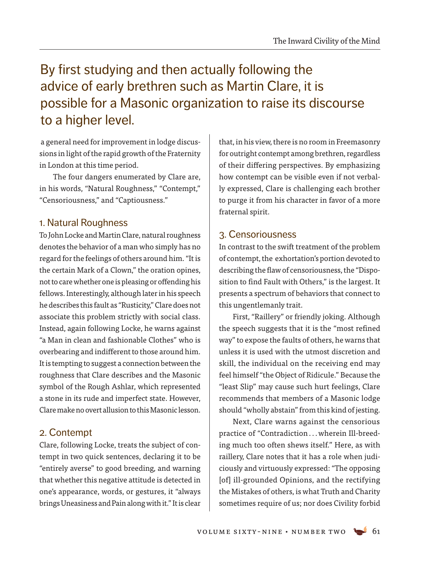## By first studying and then actually following the advice of early brethren such as Martin Clare, it is possible for a Masonic organization to raise its discourse to a higher level.

 a general need for improvement in lodge discussions in light of the rapid growth of the Fraternity in London at this time period.

The four dangers enumerated by Clare are, in his words, "Natural Roughness," "Contempt," "Censoriousness," and "Captiousness."

#### 1. Natural Roughness

To John Locke and Martin Clare, natural roughness denotes the behavior of a man who simply has no regard for the feelings of others around him. "It is the certain Mark of a Clown," the oration opines, not to care whether one is pleasing or offending his fellows. Interestingly, although later in his speech he describes this fault as "Rusticity," Clare does not associate this problem strictly with social class. Instead, again following Locke, he warns against "a Man in clean and fashionable Clothes" who is overbearing and indifferent to those around him. It is tempting to suggest a connection between the roughness that Clare describes and the Masonic symbol of the Rough Ashlar, which represented a stone in its rude and imperfect state. However, Clare make no overt allusion to this Masonic lesson.

#### 2. Contempt

Clare, following Locke, treats the subject of contempt in two quick sentences, declaring it to be "entirely averse" to good breeding, and warning that whether this negative attitude is detected in one's appearance, words, or gestures, it "always brings Uneasiness and Pain along with it." It is clear that, in his view, there is no room in Freemasonry for outright contempt among brethren, regardless of their differing perspectives. By emphasizing how contempt can be visible even if not verbally expressed, Clare is challenging each brother to purge it from his character in favor of a more fraternal spirit.

#### 3. Censoriousness

In contrast to the swift treatment of the problem of contempt, the exhortation's portion devoted to describing the flaw of censoriousness, the "Disposition to find Fault with Others," is the largest. It presents a spectrum of behaviors that connect to this ungentlemanly trait.

First, "Raillery" or friendly joking. Although the speech suggests that it is the "most refined way" to expose the faults of others, he warns that unless it is used with the utmost discretion and skill, the individual on the receiving end may feel himself "the Object of Ridicule." Because the "least Slip" may cause such hurt feelings, Clare recommends that members of a Masonic lodge should "wholly abstain" from this kind of jesting.

Next, Clare warns against the censorious practice of "Contradiction...wherein Ill-breeding much too often shews itself." Here, as with raillery, Clare notes that it has a role when judiciously and virtuously expressed: "The opposing [of] ill-grounded Opinions, and the rectifying the Mistakes of others, is what Truth and Charity sometimes require of us; nor does Civility forbid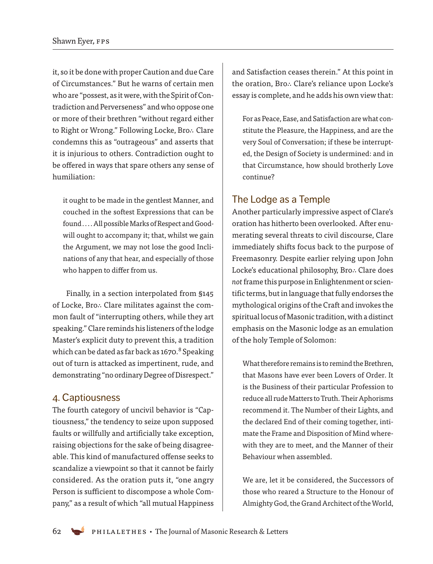it, so it be done with proper Caution and due Care of Circumstances." But he warns of certain men who are "possest, as it were, with the Spirit of Contradiction and Perverseness" and who oppose one or more of their brethren "without regard either to Right or Wrong." Following Locke, Bro∴ Clare condemns this as "outrageous" and asserts that it is injurious to others. Contradiction ought to be offered in ways that spare others any sense of humiliation:

it ought to be made in the gentlest Manner, and couched in the softest Expressions that can be found.... All possible Marks of Respect and Goodwill ought to accompany it; that, whilst we gain the Argument, we may not lose the good Inclinations of any that hear, and especially of those who happen to differ from us.

Finally, in a section interpolated from §145 of Locke, Bro∴ Clare militates against the common fault of "interrupting others, while they art speaking." Clare reminds his listeners of the lodge Master's explicit duty to prevent this, a tradition which can be dated as far back as 1670.<sup>8</sup> Speaking out of turn is attacked as impertinent, rude, and demonstrating "no ordinary Degree of Disrespect."

#### 4. Captiousness

The fourth category of uncivil behavior is "Captiousness," the tendency to seize upon supposed faults or willfully and artificially take exception, raising objections for the sake of being disagreeable. This kind of manufactured offense seeks to scandalize a viewpoint so that it cannot be fairly considered. As the oration puts it, "one angry Person is sufficient to discompose a whole Company," as a result of which "all mutual Happiness

and Satisfaction ceases therein." At this point in the oration, Bro∴ Clare's reliance upon Locke's essay is complete, and he adds his own view that:

For as Peace, Ease, and Satisfaction are what constitute the Pleasure, the Happiness, and are the very Soul of Conversation; if these be interrupted, the Design of Society is undermined: and in that Circumstance, how should brotherly Love continue?

#### The Lodge as a Temple

Another particularly impressive aspect of Clare's oration has hitherto been overlooked. After enumerating several threats to civil discourse, Clare immediately shifts focus back to the purpose of Freemasonry. Despite earlier relying upon John Locke's educational philosophy, Bro∴ Clare does *not* frame this purpose in Enlightenment or scientific terms, but in language that fully endorses the mythological origins of the Craft and invokes the spiritual locus of Masonic tradition, with a distinct emphasis on the Masonic lodge as an emulation of the holy Temple of Solomon:

What therefore remains is to remind the Brethren, that Masons have ever been Lovers of Order. It is the Business of their particular Profession to reduce all rude Matters to Truth. Their Aphorisms recommend it. The Number of their Lights, and the declared End of their coming together, intimate the Frame and Disposition of Mind wherewith they are to meet, and the Manner of their Behaviour when assembled.

We are, let it be considered, the Successors of those who reared a Structure to the Honour of Almighty God, the Grand Architect of the World,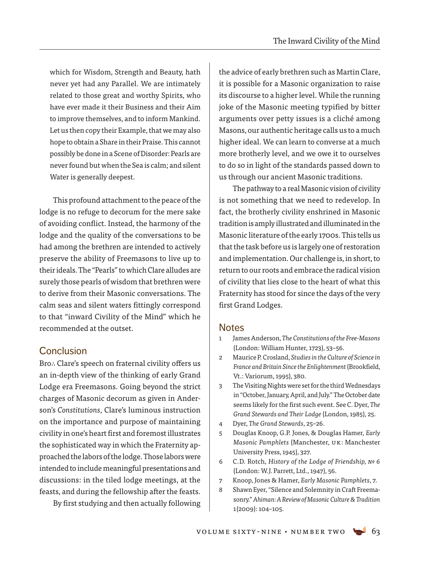which for Wisdom, Strength and Beauty, hath never yet had any Parallel. We are intimately related to those great and worthy Spirits, who have ever made it their Business and their Aim to improve themselves, and to inform Mankind. Let us then copy their Example, that we may also hope to obtain a Share in their Praise. This cannot possibly be done in a Scene of Disorder: Pearls are never found but when the Sea is calm; and silent Water is generally deepest.

This profound attachment to the peace of the lodge is no refuge to decorum for the mere sake of avoiding conflict. Instead, the harmony of the lodge and the quality of the conversations to be had among the brethren are intended to actively preserve the ability of Freemasons to live up to their ideals. The "Pearls" to which Clare alludes are surely those pearls of wisdom that brethren were to derive from their Masonic conversations. The calm seas and silent waters fittingly correspond to that "inward Civility of the Mind" which he recommended at the outset.

#### **Conclusion**

Bro∴ Clare's speech on fraternal civility offers us an in-depth view of the thinking of early Grand Lodge era Freemasons. Going beyond the strict charges of Masonic decorum as given in Anderson's *Constitutions*, Clare's luminous instruction on the importance and purpose of maintaining civility in one's heart first and foremost illustrates the sophisticated way in which the Fraternity approached the labors of the lodge. Those labors were intended to include meaningful presentations and discussions: in the tiled lodge meetings, at the feasts, and during the fellowship after the feasts.

By first studying and then actually following

the advice of early brethren such as Martin Clare, it is possible for a Masonic organization to raise its discourse to a higher level. While the running joke of the Masonic meeting typified by bitter arguments over petty issues is a cliché among Masons, our authentic heritage calls us to a much higher ideal. We can learn to converse at a much more brotherly level, and we owe it to ourselves to do so in light of the standards passed down to us through our ancient Masonic traditions.

The pathway to a real Masonic vision of civility is not something that we need to redevelop. In fact, the brotherly civility enshrined in Masonic tradition is amply illustrated and illuminated in the Masonic literature of the early 1700s. This tells us that the task before us is largely one of restoration and implementation. Our challenge is, in short, to return to our roots and embrace the radical vision of civility that lies close to the heart of what this Fraternity has stood for since the days of the very first Grand Lodges.

#### **Notes**

- 1 James Anderson, *The Constitutions of the Free-Masons*  (London: William Hunter, 1723), 53–56.
- 2 Maurice P. Crosland, *Studies in the Culture of Science in France and Britain Since the Enlightenment* (Brookfield, Vt.: Variorum, 1995), 380.
- 3 The Visiting Nights were set for the third Wednesdays in "October, January, April, and July." The October date seems likely for the first such event. See C. Dyer, *The Grand Stewards and Their Lodge* (London, 1985), 25.
- 4 Dyer, *The Grand Stewards*, 25–26.
- 5 Douglas Knoop, G.P. Jones, & Douglas Hamer, *Early Masonic Pamphlets* (Manchester, UK: Manchester University Press, 1945), 327.
- 6 C.D. Rotch, *History of the Lodge of Friendship, № 6* (London: W.J. Parrett, Ltd., 1947), 56.
- 7 Knoop, Jones & Hamer, *Early Masonic Pamphlets*, 7.
- 8 Shawn Eyer, "Silence and Solemnity in Craft Freemasonry." *Ahiman: A Review of Masonic Culture & Tradition* 1(2009): 104–105.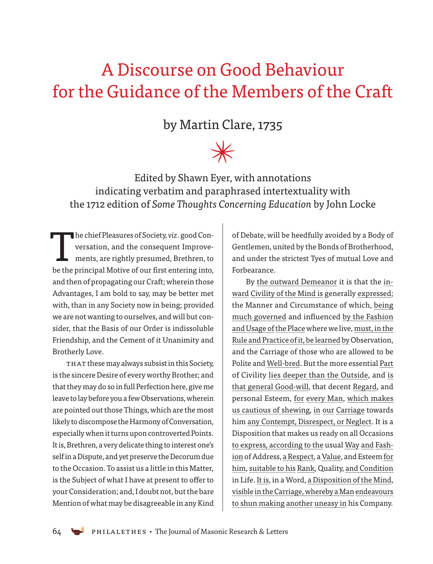## A Discourse on Good Behaviour for the Guidance of the Members of the Craft

### by Martin Clare, 1735

# $\cancel{\ast}$

Edited by Shawn Eyer, with annotations indicating verbatim and paraphrased intertextuality with the 1712 edition of *Some Thoughts Concerning Education* by John Locke

 T he chief Pleasures of Society, *viz*. good Conversation, and the consequent Improvements, are rightly presumed, Brethren, to be the principal Motive of our first entering into, and then of propagating our Craft; wherein those Advantages, I am bold to say, may be better met with, than in any Society now in being; provided we are not wanting to ourselves, and will but consider, that the Basis of our Order is indissoluble Friendship, and the Cement of it Unanimity and Brotherly Love.

THAT these may always subsist in this Society, is the sincere Desire of every worthy Brother; and that they may do so in full Perfection here, give me leave to lay before you a few Observations, wherein are pointed out those Things, which are the most likely to discompose the Harmony of Conversation, especially when it turns upon controverted Points. It is, Brethren, a very delicate thing to interest one's self in a Dispute, and yet preserve the Decorum due to the Occasion. To assist us a little in this Matter, is the Subject of what I have at present to offer to your Consideration; and, I doubt not, but the bare Mention of what may be disagreeable in any Kind of Debate, will be heedfully avoided by a Body of Gentlemen, united by the Bonds of Brotherhood, and under the strictest Tyes of mutual Love and Forbearance.

By the outward Demeanor it is that the inward Civility of the Mind is generally expressed; the Manner and Circumstance of which, being much governed and influenced by the Fashion and Usage of the Place where we live, must, in the Rule and Practice of it, be learned by Observation, and the Carriage of those who are allowed to be Polite and Well-bred. But the more essential Part of Civility lies deeper than the Outside, and is that general Good-will, that decent Regard, and personal Esteem, for every Man, which makes us cautious of shewing, in our Carriage towards him any Contempt, Disrespect, or Neglect. It is a Disposition that makes us ready on all Occasions to express, according to the usual Way and Fashion of Address, a Respect, a Value, and Esteem for him, suitable to his Rank, Quality, and Condition in Life. It is, in a Word, a Disposition of the Mind, visible in the Carriage, whereby a Manendeavours to shun making another uneasy in his Company.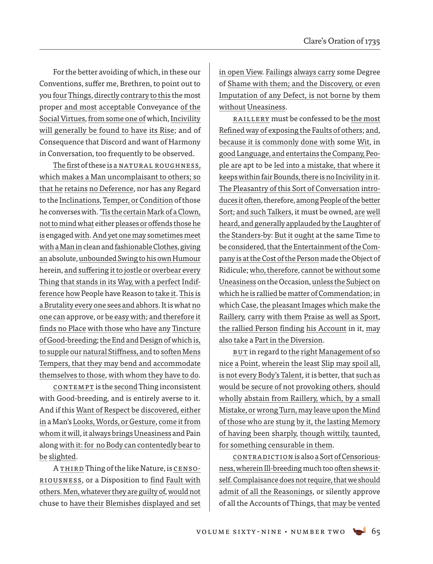For the better avoiding of which, in these our Conventions, suffer me, Brethren, to point out to you four Things, directly contrary to this the most proper and most acceptable Conveyance of the Social Virtues, from some one of which, Incivility will generally be found to have its Rise; and of Consequence that Discord and want of Harmony in Conversation, too frequently to be observed.

The first of these is a Natural Roughness, which makes a Man uncomplaisant to others; so that he retains no Deference, nor has any Regard to the Inclinations, Temper, or Condition of those he converses with. 'Tis the certain Mark of a Clown, not to mind what either pleases oroffends those he is engaged with. And yet one may sometimes meet witha Man in clean and fashionable Clothes, giving an absolute, unbounded Swing to his own Humour herein, and suffering it to jostle or overbear every Thing that stands in its Way, with a perfect Indifference how People have Reason to take it. This is a Brutality every one sees and abhors. It is what no one can approve, or be easy with; and therefore it finds no Place with those who have any Tincture of Good-breeding; the End and Design of which is, to supple our natural Stiffness, and to soften Mens Tempers, that they may bend and accommodate themselves to those, with whom they have to do.

CONTEMPT is the second Thing inconsistent with Good-breeding, and is entirely averse to it. And if this Want of Respect be discovered, either in a Man's Looks, Words, or Gesture, come it from whom it will, it always brings Uneasiness and Pain along with it: for no Body can contentedly bear to be slighted.

A THIRD Thing of the like Nature, is CENSOriousness, or a Disposition to find Fault with others. Men, whatever they are guilty of, would not chuse to have their Blemishes displayed and set in open View. Failings always carry some Degree of Shame with them; and the Discovery, or even Imputation of any Defect, is not borne by them without Uneasiness.

Raillery must be confessed to be the most Refined way of exposing the Faults of others; and, because it is commonly done with some Wit, in good Language, andentertains the Company, People are apt to be led into a mistake, that where it keeps within fair Bounds, there is no Incivility in it. The Pleasantry of this Sort of Conversation introduces it often, therefore, among People of the better Sort; and such Talkers, it must be owned, are well heard, and generally applauded by the Laughter of the Standers-by: But it ought at the same Time to be considered, that the Entertainment ofthe Company is at the Cost ofthe Person made the Object of Ridicule; who, therefore, cannot be without some Uneasiness on the Occasion, unless the Subject on which he is rallied be matter of Commendation; in which Case, the pleasant Images which make the Raillery, carry with them Praise as well as Sport, the rallied Person finding his Account in it, may also take a Part in the Diversion.

But in regard to the right Management of so nice a Point, wherein the least Slip may spoil all, is not every Body's Talent, it is better, that such as would be secure of not provoking others, should wholly abstain from Raillery, which, by a small Mistake, orwrong Turn, may leave upon the Mind of those who are stung by it, the lasting Memory of having been sharply, though wittily, taunted, for something censurable in them.

CONTRADICTION is also a Sort of Censoriousness, wherein Ill-breeding much too often shews itself. Complaisance does not require, that we should admit of all the Reasonings, or silently approve of all the Accounts of Things, that may be vented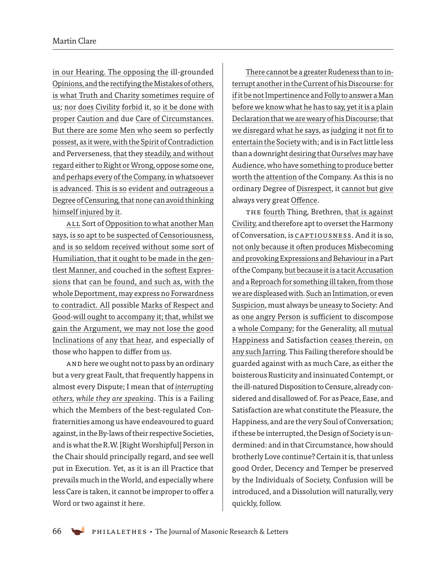in our Hearing. The opposing the ill-grounded Opinions, and the rectifying the Mistakes of others, is what Truth and Charity sometimes require of us; nor does Civility forbid it, so it be done with proper Caution and due Care of Circumstances. But there are some Men who seem so perfectly possest, as it were, with the Spirit of Contradiction and Perverseness, that they steadily, and without regard either to Right or Wrong, oppose some one, and perhaps every of the Company, in whatsoever is advanced. This is so evident and outrageous a Degree of Censuring, that none can avoid thinking himself injured by it.

All Sort of Opposition to what another Man says, is so apt to be suspected of Censoriousness, and is so seldom received without some sort of Humiliation, that it ought to be made in the gentlest Manner, and couched in the softest Expressions that can be found, and such as, with the whole Deportment, may express no Forwardness to contradict. All possible Marks of Respect and Good-will ought to accompany it; that, whilst we gain the Argument, we may not lose the good Inclinations of any that hear, and especially of those who happen to differ from us.

 And here we ought not to pass by an ordinary but a very great Fault, that frequently happens in almost every Dispute; I mean that of *interrupting others, while they are speaking*. This is a Failing which the Members of the best-regulated Confraternities among us have endeavoured to guard against, in the By-laws of their respective Societies, and is what the R.W. [Right Worshipful] Person in the Chair should principally regard, and see well put in Execution. Yet, as it is an ill Practice that prevails much in the World, and especially where less Care is taken, it cannot be improper to offer a Word or two against it here.

There cannot be a greater Rudeness than to interrupt another in the Current of his Discourse: for if it be not Impertinence and Folly to answer a Man before we know what he has to say, yet it is a plain Declaration that we are wearyof his Discourse; that we disregard what he says, as judging it not fit to entertain the Society with; and is in Fact little less than a downright desiring that *Ourselves* may have Audience, who have something to produce better worth the attention of the Company. As this is no ordinary Degree of Disrespect, it cannot but give always very great Offence.

The fourth Thing, Brethren, that is against Civility, and therefore apt to overset the Harmony of Conversation, is Captiousness. And it is so, not only because it often produces Misbecoming and provoking Expressions and Behaviour in a Part of the Company, but because it is a tacit Accusation and a Reproach for something ill taken, from those we are displeased with. Such an Intimation, or even Suspicion, must always be uneasy to Society: And as one angry Person is sufficient to discompose a whole Company; for the Generality, all mutual Happiness and Satisfaction ceases therein, on any such Jarring. This Failing therefore should be guarded against with as much Care, as either the boisterous Rusticity and insinuated Contempt, or the ill-natured Disposition to Censure, already considered and disallowed of. For as Peace, Ease, and Satisfaction are what constitute the Pleasure, the Happiness, and are the very Soul of Conversation; if these be interrupted, the Design of Society is undermined: and in that Circumstance, how should brotherly Love continue? Certain it is, that unless good Order, Decency and Temper be preserved by the Individuals of Society, Confusion will be introduced, and a Dissolution will naturally, very quickly, follow.